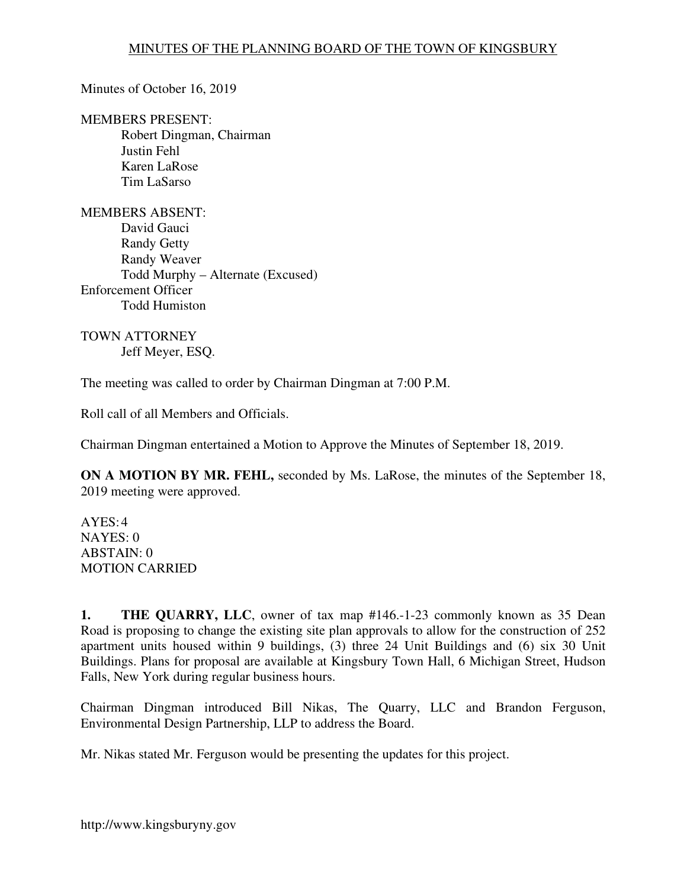Minutes of October 16, 2019

MEMBERS PRESENT: Robert Dingman, Chairman Justin Fehl

Karen LaRose Tim LaSarso

MEMBERS ABSENT: David Gauci Randy Getty Randy Weaver Todd Murphy – Alternate (Excused) Enforcement Officer Todd Humiston

TOWN ATTORNEY Jeff Meyer, ESQ.

The meeting was called to order by Chairman Dingman at 7:00 P.M.

Roll call of all Members and Officials.

Chairman Dingman entertained a Motion to Approve the Minutes of September 18, 2019.

**ON A MOTION BY MR. FEHL,** seconded by Ms. LaRose, the minutes of the September 18, 2019 meeting were approved.

 $AYES:4$ NAYES: 0 ABSTAIN: 0 MOTION CARRIED

**1. THE QUARRY, LLC**, owner of tax map #146.-1-23 commonly known as 35 Dean Road is proposing to change the existing site plan approvals to allow for the construction of 252 apartment units housed within 9 buildings, (3) three 24 Unit Buildings and (6) six 30 Unit Buildings. Plans for proposal are available at Kingsbury Town Hall, 6 Michigan Street, Hudson Falls, New York during regular business hours.

Chairman Dingman introduced Bill Nikas, The Quarry, LLC and Brandon Ferguson, Environmental Design Partnership, LLP to address the Board.

Mr. Nikas stated Mr. Ferguson would be presenting the updates for this project.

http://www.kingsburyny.gov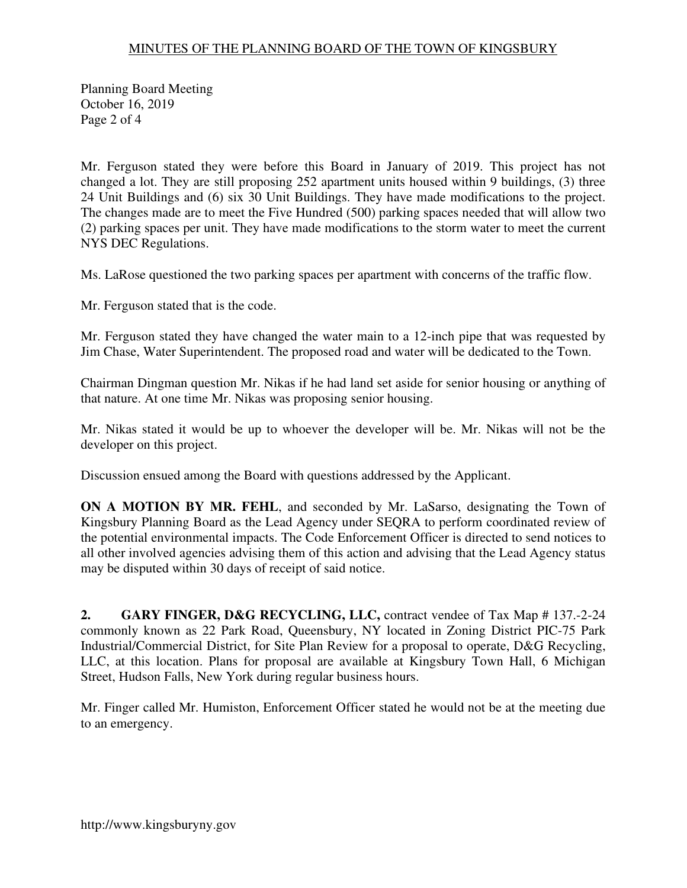## MINUTES OF THE PLANNING BOARD OF THE TOWN OF KINGSBURY

Planning Board Meeting October 16, 2019 Page 2 of 4

Mr. Ferguson stated they were before this Board in January of 2019. This project has not changed a lot. They are still proposing 252 apartment units housed within 9 buildings, (3) three 24 Unit Buildings and (6) six 30 Unit Buildings. They have made modifications to the project. The changes made are to meet the Five Hundred (500) parking spaces needed that will allow two (2) parking spaces per unit. They have made modifications to the storm water to meet the current NYS DEC Regulations.

Ms. LaRose questioned the two parking spaces per apartment with concerns of the traffic flow.

Mr. Ferguson stated that is the code.

Mr. Ferguson stated they have changed the water main to a 12-inch pipe that was requested by Jim Chase, Water Superintendent. The proposed road and water will be dedicated to the Town.

Chairman Dingman question Mr. Nikas if he had land set aside for senior housing or anything of that nature. At one time Mr. Nikas was proposing senior housing.

Mr. Nikas stated it would be up to whoever the developer will be. Mr. Nikas will not be the developer on this project.

Discussion ensued among the Board with questions addressed by the Applicant.

**ON A MOTION BY MR. FEHL**, and seconded by Mr. LaSarso, designating the Town of Kingsbury Planning Board as the Lead Agency under SEQRA to perform coordinated review of the potential environmental impacts. The Code Enforcement Officer is directed to send notices to all other involved agencies advising them of this action and advising that the Lead Agency status may be disputed within 30 days of receipt of said notice.

**2. GARY FINGER, D&G RECYCLING, LLC,** contract vendee of Tax Map # 137.-2-24 commonly known as 22 Park Road, Queensbury, NY located in Zoning District PIC-75 Park Industrial/Commercial District, for Site Plan Review for a proposal to operate, D&G Recycling, LLC, at this location. Plans for proposal are available at Kingsbury Town Hall, 6 Michigan Street, Hudson Falls, New York during regular business hours.

Mr. Finger called Mr. Humiston, Enforcement Officer stated he would not be at the meeting due to an emergency.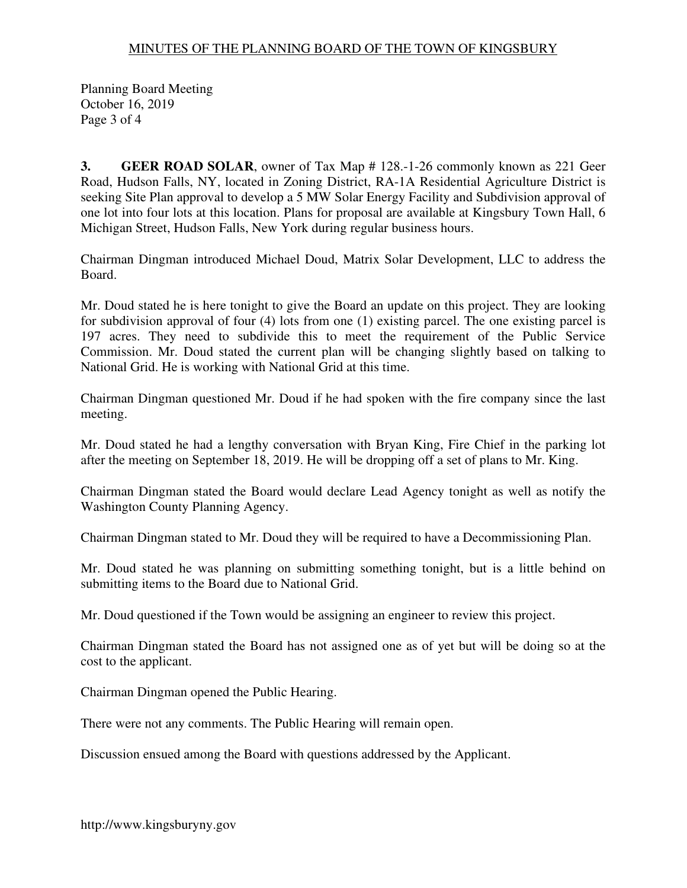## MINUTES OF THE PLANNING BOARD OF THE TOWN OF KINGSBURY

Planning Board Meeting October 16, 2019 Page 3 of 4

**3. GEER ROAD SOLAR**, owner of Tax Map # 128.-1-26 commonly known as 221 Geer Road, Hudson Falls, NY, located in Zoning District, RA-1A Residential Agriculture District is seeking Site Plan approval to develop a 5 MW Solar Energy Facility and Subdivision approval of one lot into four lots at this location. Plans for proposal are available at Kingsbury Town Hall, 6 Michigan Street, Hudson Falls, New York during regular business hours.

Chairman Dingman introduced Michael Doud, Matrix Solar Development, LLC to address the Board.

Mr. Doud stated he is here tonight to give the Board an update on this project. They are looking for subdivision approval of four (4) lots from one (1) existing parcel. The one existing parcel is 197 acres. They need to subdivide this to meet the requirement of the Public Service Commission. Mr. Doud stated the current plan will be changing slightly based on talking to National Grid. He is working with National Grid at this time.

Chairman Dingman questioned Mr. Doud if he had spoken with the fire company since the last meeting.

Mr. Doud stated he had a lengthy conversation with Bryan King, Fire Chief in the parking lot after the meeting on September 18, 2019. He will be dropping off a set of plans to Mr. King.

Chairman Dingman stated the Board would declare Lead Agency tonight as well as notify the Washington County Planning Agency.

Chairman Dingman stated to Mr. Doud they will be required to have a Decommissioning Plan.

Mr. Doud stated he was planning on submitting something tonight, but is a little behind on submitting items to the Board due to National Grid.

Mr. Doud questioned if the Town would be assigning an engineer to review this project.

Chairman Dingman stated the Board has not assigned one as of yet but will be doing so at the cost to the applicant.

Chairman Dingman opened the Public Hearing.

There were not any comments. The Public Hearing will remain open.

Discussion ensued among the Board with questions addressed by the Applicant.

http://www.kingsburyny.gov